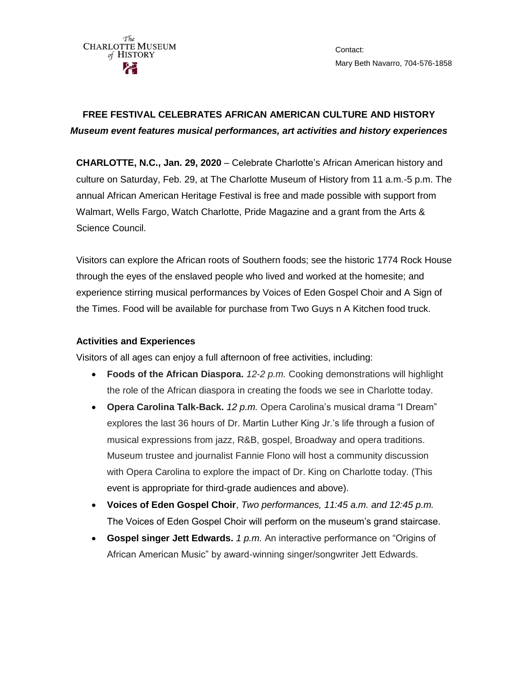

Contact: Mary Beth Navarro, 704-576-1858

## **FREE FESTIVAL CELEBRATES AFRICAN AMERICAN CULTURE AND HISTORY**  *Museum event features musical performances, art activities and history experiences*

**CHARLOTTE, N.C., Jan. 29, 2020** – Celebrate Charlotte's African American history and culture on Saturday, Feb. 29, at The Charlotte Museum of History from 11 a.m.-5 p.m. The annual African American Heritage Festival is free and made possible with support from Walmart, Wells Fargo, Watch Charlotte, Pride Magazine and a grant from the Arts & Science Council.

Visitors can explore the African roots of Southern foods; see the historic 1774 Rock House through the eyes of the enslaved people who lived and worked at the homesite; and experience stirring musical performances by Voices of Eden Gospel Choir and A Sign of the Times. Food will be available for purchase from Two Guys n A Kitchen food truck.

## **Activities and Experiences**

Visitors of all ages can enjoy a full afternoon of free activities, including:

- **Foods of the African Diaspora.** *12-2 p.m.* Cooking demonstrations will highlight the role of the African diaspora in creating the foods we see in Charlotte today.
- **Opera Carolina Talk-Back.** *12 p.m.* Opera Carolina's musical drama "I Dream" explores the last 36 hours of Dr. Martin Luther King Jr.'s life through a fusion of musical expressions from jazz, R&B, gospel, Broadway and opera traditions. Museum trustee and journalist Fannie Flono will host a community discussion with Opera Carolina to explore the impact of Dr. King on Charlotte today. (This event is appropriate for third-grade audiences and above).
- **Voices of Eden Gospel Choir**, *Two performances, 11:45 a.m. and 12:45 p.m.* The Voices of Eden Gospel Choir will perform on the museum's grand staircase.
- **Gospel singer Jett Edwards.** *1 p.m.* An interactive performance on "Origins of African American Music" by award-winning singer/songwriter Jett Edwards.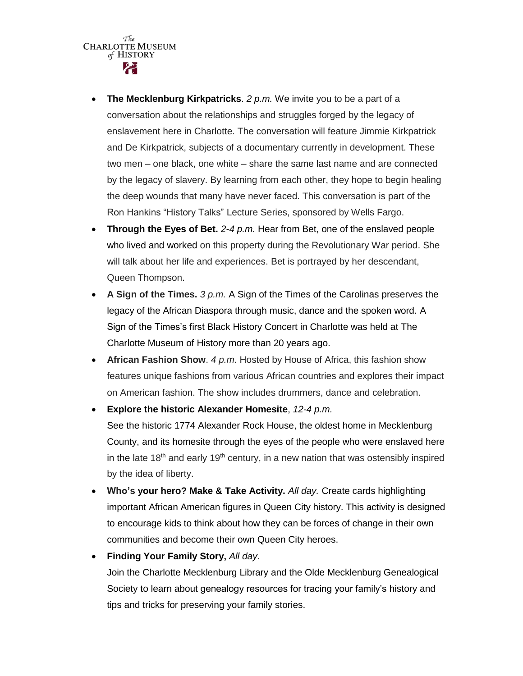$\overbrace{\text{CHARLOITE}}^{\text{The}}\text{MUSEUM}$  $of$  HISTORY

- **The Mecklenburg Kirkpatricks**. *2 p.m.* We invite you to be a part of a conversation about the relationships and struggles forged by the legacy of enslavement here in Charlotte. The conversation will feature Jimmie Kirkpatrick and De Kirkpatrick, subjects of a documentary currently in development. These two men – one black, one white – share the same last name and are connected by the legacy of slavery. By learning from each other, they hope to begin healing the deep wounds that many have never faced. This conversation is part of the Ron Hankins "History Talks" Lecture Series, sponsored by Wells Fargo.
- **Through the Eyes of Bet.** *2-4 p.m.* Hear from Bet, one of the enslaved people who lived and worked on this property during the Revolutionary War period. She will talk about her life and experiences. Bet is portrayed by her descendant, Queen Thompson.
- **A Sign of the Times.** *3 p.m.* A Sign of the Times of the Carolinas preserves the legacy of the African Diaspora through music, dance and the spoken word. A Sign of the Times's first Black History Concert in Charlotte was held at The Charlotte Museum of History more than 20 years ago.
- **African Fashion Show**. *4 p.m.* Hosted by House of Africa, this fashion show features unique fashions from various African countries and explores their impact on American fashion. The show includes drummers, dance and celebration.

 **Explore the historic Alexander Homesite**, *12-4 p.m.* See the historic 1774 Alexander Rock House, the oldest home in Mecklenburg County, and its homesite through the eyes of the people who were enslaved here in the late 18<sup>th</sup> and early 19<sup>th</sup> century, in a new nation that was ostensibly inspired by the idea of liberty.

- **Who's your hero? Make & Take Activity.** *All day.* Create cards highlighting important African American figures in Queen City history. This activity is designed to encourage kids to think about how they can be forces of change in their own communities and become their own Queen City heroes.
- **Finding Your Family Story,** *All day.* Join the Charlotte Mecklenburg Library and the Olde Mecklenburg Genealogical Society to learn about genealogy resources for tracing your family's history and tips and tricks for preserving your family stories.